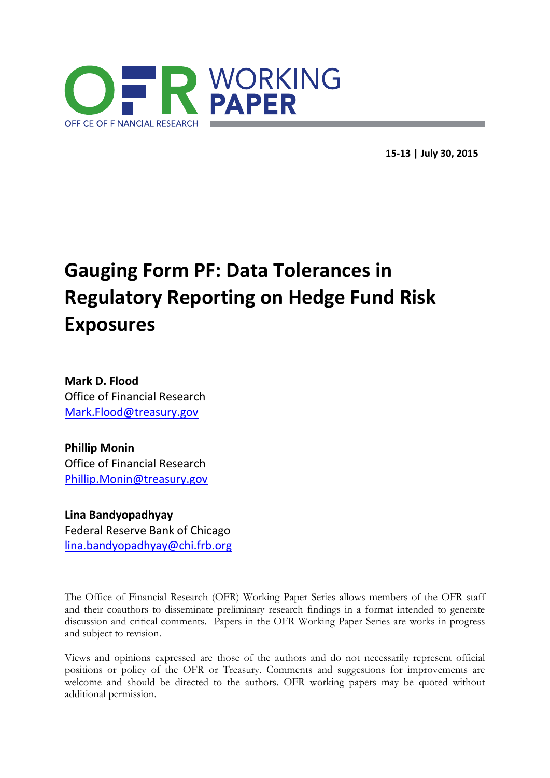

**15-13 | July 30, 2015**

# **Gauging Form PF: Data Tolerances in Regulatory Reporting on Hedge Fund Risk Exposures**

**Mark D. Flood** Office of Financial Research Mark.Flood@treasury.gov

**Phillip Monin** Office of Financial Research Phillip.Monin@treasury.gov

**Lina Bandyopadhyay** Federal Reserve Bank of Chicago lina.bandyopadhyay@chi.frb.org

The Office of Financial Research (OFR) Working Paper Series allows members of the OFR staff and their coauthors to disseminate preliminary research findings in a format intended to generate discussion and critical comments. Papers in the OFR Working Paper Series are works in progress and subject to revision.

Views and opinions expressed are those of the authors and do not necessarily represent official positions or policy of the OFR or Treasury. Comments and suggestions for improvements are welcome and should be directed to the authors. OFR working papers may be quoted without additional permission.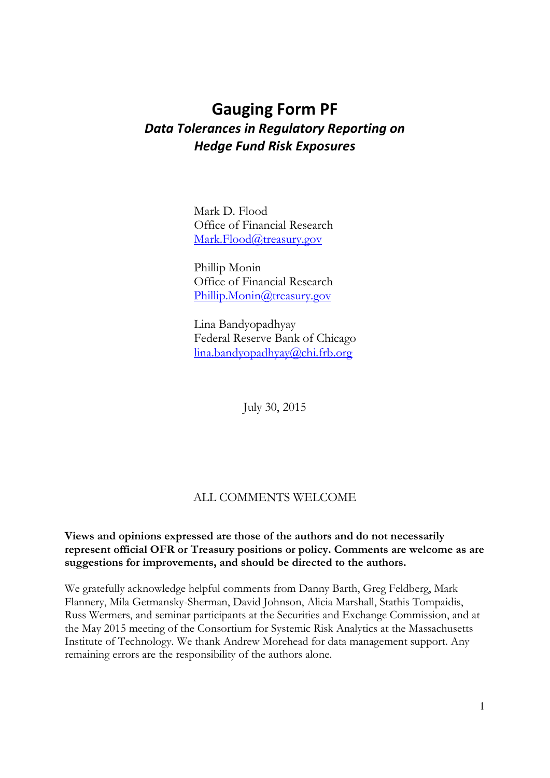## **Gauging Form PF** *Data Tolerances in Regulatory Reporting on Hedge Fund Risk Exposures*

Mark D. Flood Office of Financial Research Mark.Flood@treasury.gov

Phillip Monin Office of Financial Research Phillip.Monin@treasury.gov

Lina Bandyopadhyay Federal Reserve Bank of Chicago lina.bandyopadhyay@chi.frb.org

July 30, 2015

### ALL COMMENTS WELCOME

#### **Views and opinions expressed are those of the authors and do not necessarily represent official OFR or Treasury positions or policy. Comments are welcome as are suggestions for improvements, and should be directed to the authors.**

We gratefully acknowledge helpful comments from Danny Barth, Greg Feldberg, Mark Flannery, Mila Getmansky-Sherman, David Johnson, Alicia Marshall, Stathis Tompaidis, Russ Wermers, and seminar participants at the Securities and Exchange Commission, and at the May 2015 meeting of the Consortium for Systemic Risk Analytics at the Massachusetts Institute of Technology. We thank Andrew Morehead for data management support. Any remaining errors are the responsibility of the authors alone.